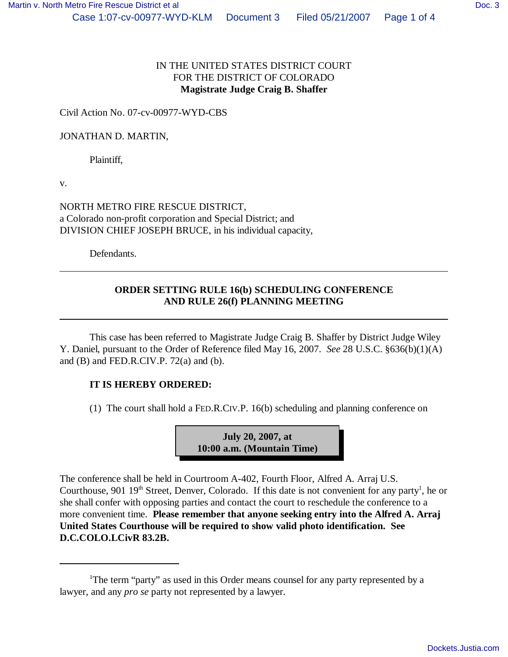## IN THE UNITED STATES DISTRICT COURT FOR THE DISTRICT OF COLORADO **Magistrate Judge Craig B. Shaffer**

Civil Action No. 07-cv-00977-WYD-CBS

## JONATHAN D. MARTIN,

Plaintiff,

v.

NORTH METRO FIRE RESCUE DISTRICT, a Colorado non-profit corporation and Special District; and DIVISION CHIEF JOSEPH BRUCE, in his individual capacity,

Defendants.

## **ORDER SETTING RULE 16(b) SCHEDULING CONFERENCE AND RULE 26(f) PLANNING MEETING**

This case has been referred to Magistrate Judge Craig B. Shaffer by District Judge Wiley Y. Daniel, pursuant to the Order of Reference filed May 16, 2007. *See* 28 U.S.C. §636(b)(1)(A) and  $(B)$  and FED.R.CIV.P. 72 $(a)$  and  $(b)$ .

## **IT IS HEREBY ORDERED:**

(1) The court shall hold a FED.R.CIV.P. 16(b) scheduling and planning conference on

**July 20, 2007, at 10:00 a.m. (Mountain Time)**

The conference shall be held in Courtroom A-402, Fourth Floor, Alfred A. Arraj U.S. Courthouse, 901  $19<sup>th</sup>$  Street, Denver, Colorado. If this date is not convenient for any party<sup>1</sup>, he or she shall confer with opposing parties and contact the court to reschedule the conference to a more convenient time. **Please remember that anyone seeking entry into the Alfred A. Arraj United States Courthouse will be required to show valid photo identification. See D.C.COLO.LCivR 83.2B.**

<sup>&</sup>lt;sup>1</sup>The term "party" as used in this Order means counsel for any party represented by a lawyer, and any *pro se* party not represented by a lawyer.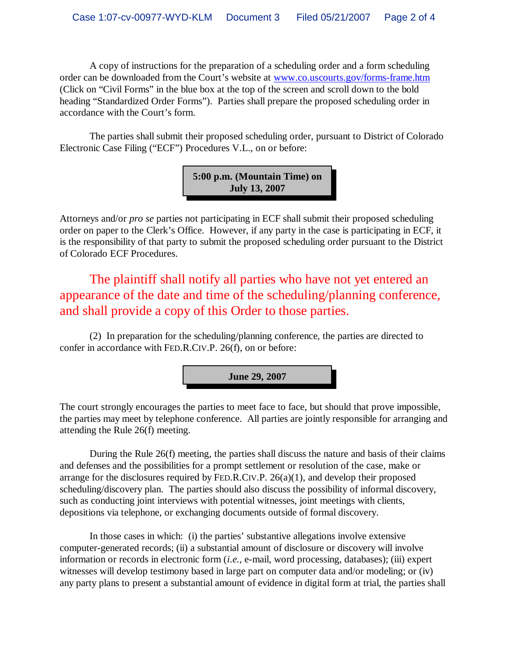A copy of instructions for the preparation of a scheduling order and a form scheduling order can be downloaded from the Court's website at www.co.uscourts.gov/forms-frame.htm (Click on "Civil Forms" in the blue box at the top of the screen and scroll down to the bold heading "Standardized Order Forms"). Parties shall prepare the proposed scheduling order in accordance with the Court's form.

The parties shall submit their proposed scheduling order, pursuant to District of Colorado Electronic Case Filing ("ECF") Procedures V.L., on or before:



Attorneys and/or *pro se* parties not participating in ECF shall submit their proposed scheduling order on paper to the Clerk's Office. However, if any party in the case is participating in ECF, it is the responsibility of that party to submit the proposed scheduling order pursuant to the District of Colorado ECF Procedures.

The plaintiff shall notify all parties who have not yet entered an appearance of the date and time of the scheduling/planning conference, and shall provide a copy of this Order to those parties.

(2) In preparation for the scheduling/planning conference, the parties are directed to confer in accordance with FED.R.CIV.P. 26(f), on or before:

**June 29, 2007**

The court strongly encourages the parties to meet face to face, but should that prove impossible, the parties may meet by telephone conference. All parties are jointly responsible for arranging and attending the Rule 26(f) meeting.

During the Rule 26(f) meeting, the parties shall discuss the nature and basis of their claims and defenses and the possibilities for a prompt settlement or resolution of the case, make or arrange for the disclosures required by FED.R.CIV.P. 26(a)(1), and develop their proposed scheduling/discovery plan. The parties should also discuss the possibility of informal discovery, such as conducting joint interviews with potential witnesses, joint meetings with clients, depositions via telephone, or exchanging documents outside of formal discovery.

In those cases in which: (i) the parties' substantive allegations involve extensive computer-generated records; (ii) a substantial amount of disclosure or discovery will involve information or records in electronic form (*i.e.,* e-mail, word processing, databases); (iii) expert witnesses will develop testimony based in large part on computer data and/or modeling; or (iv) any party plans to present a substantial amount of evidence in digital form at trial, the parties shall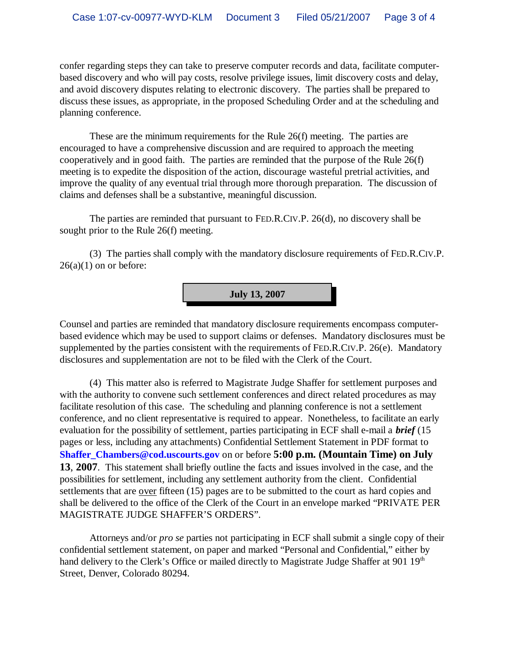confer regarding steps they can take to preserve computer records and data, facilitate computerbased discovery and who will pay costs, resolve privilege issues, limit discovery costs and delay, and avoid discovery disputes relating to electronic discovery. The parties shall be prepared to discuss these issues, as appropriate, in the proposed Scheduling Order and at the scheduling and planning conference.

These are the minimum requirements for the Rule 26(f) meeting. The parties are encouraged to have a comprehensive discussion and are required to approach the meeting cooperatively and in good faith. The parties are reminded that the purpose of the Rule 26(f) meeting is to expedite the disposition of the action, discourage wasteful pretrial activities, and improve the quality of any eventual trial through more thorough preparation. The discussion of claims and defenses shall be a substantive, meaningful discussion.

The parties are reminded that pursuant to FED.R.CIV.P. 26(d), no discovery shall be sought prior to the Rule 26(f) meeting.

(3) The parties shall comply with the mandatory disclosure requirements of FED.R.CIV.P.  $26(a)(1)$  on or before:

**July 13, 2007**

Counsel and parties are reminded that mandatory disclosure requirements encompass computerbased evidence which may be used to support claims or defenses. Mandatory disclosures must be supplemented by the parties consistent with the requirements of FED.R.CIV.P. 26(e). Mandatory disclosures and supplementation are not to be filed with the Clerk of the Court.

(4) This matter also is referred to Magistrate Judge Shaffer for settlement purposes and with the authority to convene such settlement conferences and direct related procedures as may facilitate resolution of this case. The scheduling and planning conference is not a settlement conference, and no client representative is required to appear. Nonetheless, to facilitate an early evaluation for the possibility of settlement, parties participating in ECF shall e-mail a *brief* (15 pages or less, including any attachments) Confidential Settlement Statement in PDF format to **Shaffer\_Chambers@cod.uscourts.gov** on or before **5:00 p.m. (Mountain Time) on July 13**, **2007**. This statement shall briefly outline the facts and issues involved in the case, and the possibilities for settlement, including any settlement authority from the client. Confidential settlements that are <u>over</u> fifteen (15) pages are to be submitted to the court as hard copies and shall be delivered to the office of the Clerk of the Court in an envelope marked "PRIVATE PER MAGISTRATE JUDGE SHAFFER'S ORDERS".

Attorneys and/or *pro se* parties not participating in ECF shall submit a single copy of their confidential settlement statement, on paper and marked "Personal and Confidential," either by hand delivery to the Clerk's Office or mailed directly to Magistrate Judge Shaffer at 901 19<sup>th</sup> Street, Denver, Colorado 80294.